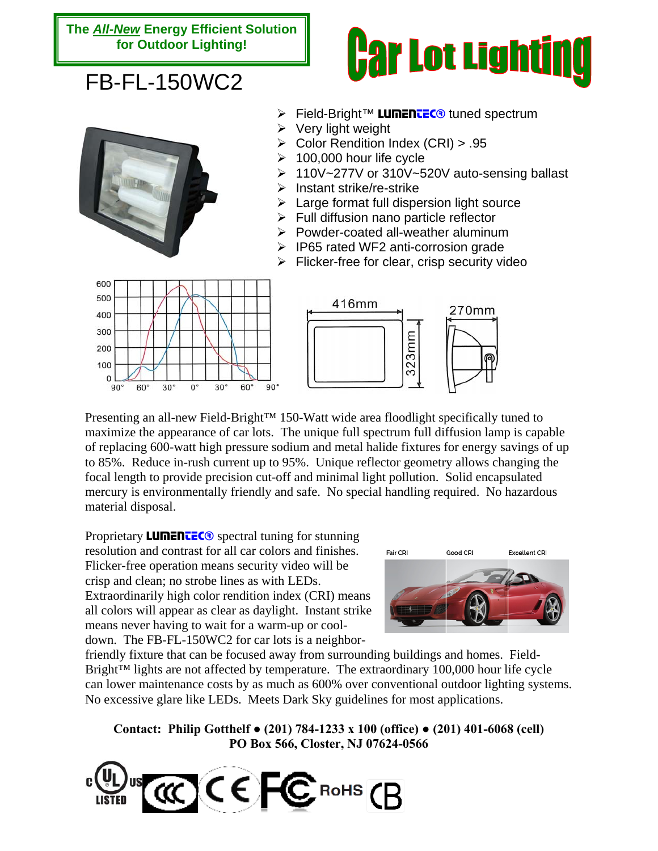## **The** *All-New* **Energy Efficient Solution for Outdoor Lighting!**

## FB-FL-150WC2





- **Eield-Bright™ LUMENTEC® tuned spectrum**
- $\triangleright$  Very light weight
- ¾ Color Rendition Index (CRI) > .95
- 100,000 hour life cycle
- ¾ 110V~277V or 310V~520V auto-sensing ballast
- $\triangleright$  Instant strike/re-strike
- $\triangleright$  Large format full dispersion light source
- $\triangleright$  Full diffusion nano particle reflector
- $\triangleright$  Powder-coated all-weather aluminum
- ¾ IP65 rated WF2 anti-corrosion grade
- $\triangleright$  Flicker-free for clear, crisp security video





Presenting an all-new Field-Bright<sup>™</sup> 150-Watt wide area floodlight specifically tuned to maximize the appearance of car lots. The unique full spectrum full diffusion lamp is capable of replacing 600-watt high pressure sodium and metal halide fixtures for energy savings of up to 85%. Reduce in-rush current up to 95%. Unique reflector geometry allows changing the focal length to provide precision cut-off and minimal light pollution. Solid encapsulated mercury is environmentally friendly and safe. No special handling required. No hazardous material disposal.

Proprietary **LUMENTEC** $\odot$  spectral tuning for stunning resolution and contrast for all car colors and finishes. Flicker-free operation means security video will be crisp and clean; no strobe lines as with LEDs. Extraordinarily high color rendition index (CRI) means all colors will appear as clear as daylight. Instant strike means never having to wait for a warm-up or cooldown. The FB-FL-150WC2 for car lots is a neighbor-



friendly fixture that can be focused away from surrounding buildings and homes. Field-Bright™ lights are not affected by temperature. The extraordinary 100,000 hour life cycle can lower maintenance costs by as much as 600% over conventional outdoor lighting systems. No excessive glare like LEDs. Meets Dark Sky guidelines for most applications.

**Contact: Philip Gotthelf ● (201) 784-1233 x 100 (office) ● (201) 401-6068 (cell) PO Box 566, Closter, NJ 07624-0566**